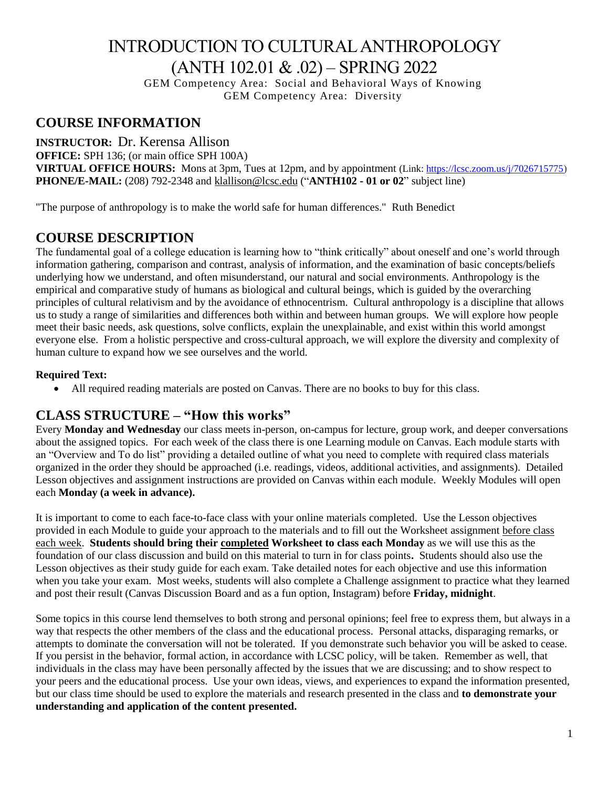# INTRODUCTION TO CULTURAL ANTHROPOLOGY (ANTH 102.01 & .02) – SPRING 2022

GEM Competency Area: Social and Behavioral Ways of Knowing GEM Competency Area: Diversity

### **COURSE INFORMATION**

**INSTRUCTOR:** Dr. Kerensa Allison **OFFICE:** SPH 136; (or main office SPH 100A) **VIRTUAL OFFICE HOURS:** Mons at 3pm, Tues at 12pm, and by appointment (Link: [https://lcsc.zoom.us/j/7026715775\)](https://lcsc.zoom.us/j/7026715775) **PHONE/E-MAIL:** (208) 792-2348 and [klallison@lcsc.edu](mailto:klallison@lcsc.edu) ("**ANTH102 - 01 or 02**" subject line)

"The purpose of anthropology is to make the world safe for human differences." Ruth Benedict

### **COURSE DESCRIPTION**

The fundamental goal of a college education is learning how to "think critically" about oneself and one's world through information gathering, comparison and contrast, analysis of information, and the examination of basic concepts/beliefs underlying how we understand, and often misunderstand, our natural and social environments. Anthropology is the empirical and comparative study of humans as biological and cultural beings, which is guided by the overarching principles of cultural relativism and by the avoidance of ethnocentrism. Cultural anthropology is a discipline that allows us to study a range of similarities and differences both within and between human groups. We will explore how people meet their basic needs, ask questions, solve conflicts, explain the unexplainable, and exist within this world amongst everyone else. From a holistic perspective and cross-cultural approach, we will explore the diversity and complexity of human culture to expand how we see ourselves and the world.

### **Required Text:**

• All required reading materials are posted on Canvas. There are no books to buy for this class.

### **CLASS STRUCTURE – "How this works"**

Every **Monday and Wednesday** our class meets in-person, on-campus for lecture, group work, and deeper conversations about the assigned topics. For each week of the class there is one Learning module on Canvas. Each module starts with an "Overview and To do list" providing a detailed outline of what you need to complete with required class materials organized in the order they should be approached (i.e. readings, videos, additional activities, and assignments). Detailed Lesson objectives and assignment instructions are provided on Canvas within each module. Weekly Modules will open each **Monday (a week in advance).**

It is important to come to each face-to-face class with your online materials completed. Use the Lesson objectives provided in each Module to guide your approach to the materials and to fill out the Worksheet assignment before class each week. **Students should bring their completed Worksheet to class each Monday** as we will use this as the foundation of our class discussion and build on this material to turn in for class points**.** Students should also use the Lesson objectives as their study guide for each exam. Take detailed notes for each objective and use this information when you take your exam. Most weeks, students will also complete a Challenge assignment to practice what they learned and post their result (Canvas Discussion Board and as a fun option, Instagram) before **Friday, midnight**.

Some topics in this course lend themselves to both strong and personal opinions; feel free to express them, but always in a way that respects the other members of the class and the educational process. Personal attacks, disparaging remarks, or attempts to dominate the conversation will not be tolerated. If you demonstrate such behavior you will be asked to cease. If you persist in the behavior, formal action, in accordance with LCSC policy, will be taken. Remember as well, that individuals in the class may have been personally affected by the issues that we are discussing; and to show respect to your peers and the educational process. Use your own ideas, views, and experiences to expand the information presented, but our class time should be used to explore the materials and research presented in the class and **to demonstrate your understanding and application of the content presented.**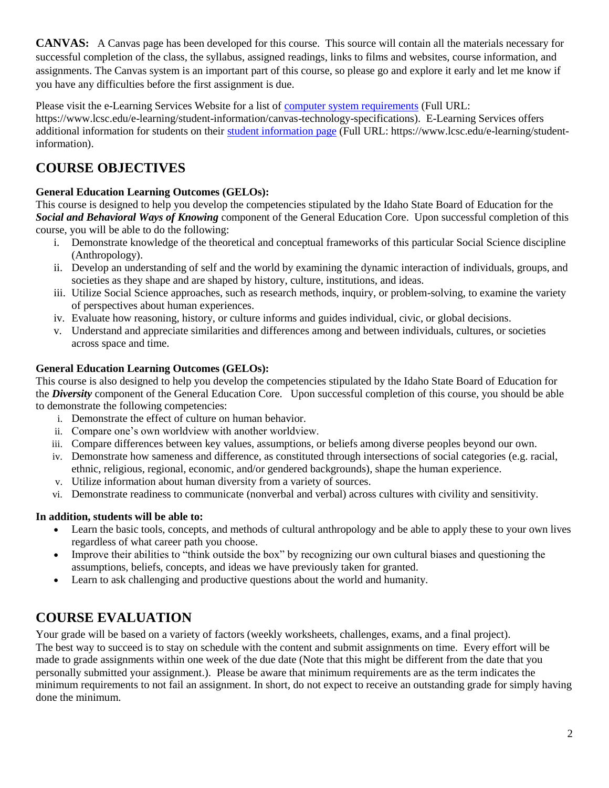**CANVAS:** A Canvas page has been developed for this course. This source will contain all the materials necessary for successful completion of the class, the syllabus, assigned readings, links to films and websites, course information, and assignments. The Canvas system is an important part of this course, so please go and explore it early and let me know if you have any difficulties before the first assignment is due.

Please visit the e-Learning Services Website for a list of [computer system requirements](https://www.lcsc.edu/e-learning/student-information/canvas-technology-specifications) (Full URL:

https://www.lcsc.edu/e-learning/student-information/canvas-technology-specifications). E-Learning Services offers additional information for students on their [student information page](https://www.lcsc.edu/e-learning/student-information/) (Full URL: https://www.lcsc.edu/e-learning/studentinformation).

## **COURSE OBJECTIVES**

### **General Education Learning Outcomes (GELOs):**

This course is designed to help you develop the competencies stipulated by the Idaho State Board of Education for the *Social and Behavioral Ways of Knowing* component of the General Education Core. Upon successful completion of this course, you will be able to do the following:

- i. Demonstrate knowledge of the theoretical and conceptual frameworks of this particular Social Science discipline (Anthropology).
- ii. Develop an understanding of self and the world by examining the dynamic interaction of individuals, groups, and societies as they shape and are shaped by history, culture, institutions, and ideas.
- iii. Utilize Social Science approaches, such as research methods, inquiry, or problem-solving, to examine the variety of perspectives about human experiences.
- iv. Evaluate how reasoning, history, or culture informs and guides individual, civic, or global decisions.
- v. Understand and appreciate similarities and differences among and between individuals, cultures, or societies across space and time.

### **General Education Learning Outcomes (GELOs):**

This course is also designed to help you develop the competencies stipulated by the Idaho State Board of Education for the *Diversity* component of the General Education Core. Upon successful completion of this course, you should be able to demonstrate the following competencies:

- i. Demonstrate the effect of culture on human behavior.
- ii. Compare one's own worldview with another worldview.
- iii. Compare differences between key values, assumptions, or beliefs among diverse peoples beyond our own.
- iv. Demonstrate how sameness and difference, as constituted through intersections of social categories (e.g. racial, ethnic, religious, regional, economic, and/or gendered backgrounds), shape the human experience.
- v. Utilize information about human diversity from a variety of sources.
- vi. Demonstrate readiness to communicate (nonverbal and verbal) across cultures with civility and sensitivity.

### **In addition, students will be able to:**

- Learn the basic tools, concepts, and methods of cultural anthropology and be able to apply these to your own lives regardless of what career path you choose.
- Improve their abilities to "think outside the box" by recognizing our own cultural biases and questioning the assumptions, beliefs, concepts, and ideas we have previously taken for granted.
- Learn to ask challenging and productive questions about the world and humanity.

## **COURSE EVALUATION**

Your grade will be based on a variety of factors (weekly worksheets, challenges, exams, and a final project). The best way to succeed is to stay on schedule with the content and submit assignments on time. Every effort will be made to grade assignments within one week of the due date (Note that this might be different from the date that you personally submitted your assignment.). Please be aware that minimum requirements are as the term indicates the minimum requirements to not fail an assignment. In short, do not expect to receive an outstanding grade for simply having done the minimum.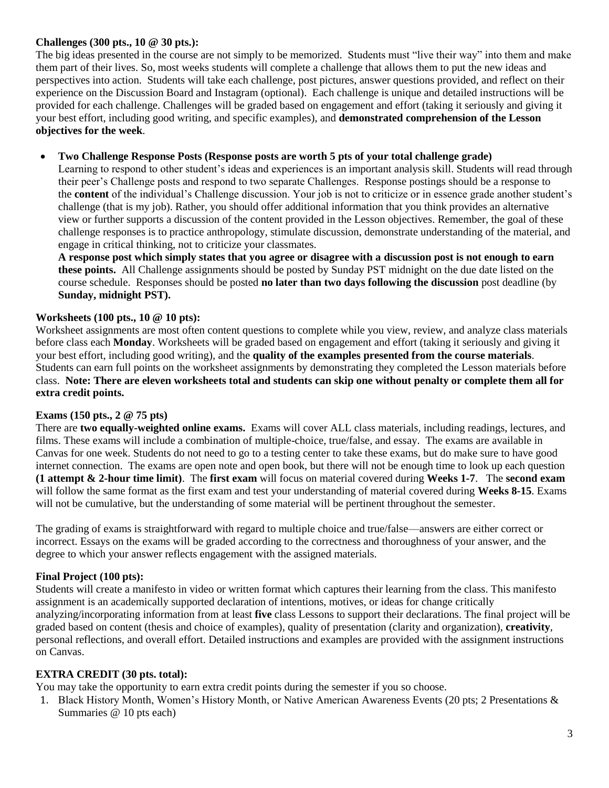### **Challenges (300 pts., 10 @ 30 pts.):**

The big ideas presented in the course are not simply to be memorized. Students must "live their way" into them and make them part of their lives. So, most weeks students will complete a challenge that allows them to put the new ideas and perspectives into action. Students will take each challenge, post pictures, answer questions provided, and reflect on their experience on the Discussion Board and Instagram (optional). Each challenge is unique and detailed instructions will be provided for each challenge. Challenges will be graded based on engagement and effort (taking it seriously and giving it your best effort, including good writing, and specific examples), and **demonstrated comprehension of the Lesson objectives for the week**.

### • **Two Challenge Response Posts (Response posts are worth 5 pts of your total challenge grade)**

Learning to respond to other student's ideas and experiences is an important analysis skill. Students will read through their peer's Challenge posts and respond to two separate Challenges. Response postings should be a response to the **content** of the individual's Challenge discussion. Your job is not to criticize or in essence grade another student's challenge (that is my job). Rather, you should offer additional information that you think provides an alternative view or further supports a discussion of the content provided in the Lesson objectives. Remember, the goal of these challenge responses is to practice anthropology, stimulate discussion, demonstrate understanding of the material, and engage in critical thinking, not to criticize your classmates.

**A response post which simply states that you agree or disagree with a discussion post is not enough to earn these points.** All Challenge assignments should be posted by Sunday PST midnight on the due date listed on the course schedule. Responses should be posted **no later than two days following the discussion** post deadline (by **Sunday, midnight PST).** 

### **Worksheets (100 pts., 10 @ 10 pts):**

Worksheet assignments are most often content questions to complete while you view, review, and analyze class materials before class each **Monday**. Worksheets will be graded based on engagement and effort (taking it seriously and giving it your best effort, including good writing), and the **quality of the examples presented from the course materials**. Students can earn full points on the worksheet assignments by demonstrating they completed the Lesson materials before class. **Note: There are eleven worksheets total and students can skip one without penalty or complete them all for extra credit points.**

#### **Exams (150 pts., 2 @ 75 pts)**

There are **two equally-weighted online exams.** Exams will cover ALL class materials, including readings, lectures, and films. These exams will include a combination of multiple-choice, true/false, and essay. The exams are available in Canvas for one week. Students do not need to go to a testing center to take these exams, but do make sure to have good internet connection. The exams are open note and open book, but there will not be enough time to look up each question **(1 attempt & 2-hour time limit)**. The **first exam** will focus on material covered during **Weeks 1-7**. The **second exam** will follow the same format as the first exam and test your understanding of material covered during **Weeks 8-15**. Exams will not be cumulative, but the understanding of some material will be pertinent throughout the semester.

The grading of exams is straightforward with regard to multiple choice and true/false—answers are either correct or incorrect. Essays on the exams will be graded according to the correctness and thoroughness of your answer, and the degree to which your answer reflects engagement with the assigned materials.

### **Final Project (100 pts):**

Students will create a manifesto in video or written format which captures their learning from the class. This manifesto assignment is an academically supported declaration of intentions, motives, or ideas for change critically analyzing/incorporating information from at least **five** class Lessons to support their declarations. The final project will be graded based on content (thesis and choice of examples), quality of presentation (clarity and organization), **creativity**, personal reflections, and overall effort. Detailed instructions and examples are provided with the assignment instructions on Canvas.

#### **EXTRA CREDIT (30 pts. total):**

You may take the opportunity to earn extra credit points during the semester if you so choose.

1. Black History Month, Women's History Month, or Native American Awareness Events (20 pts; 2 Presentations & Summaries @ 10 pts each)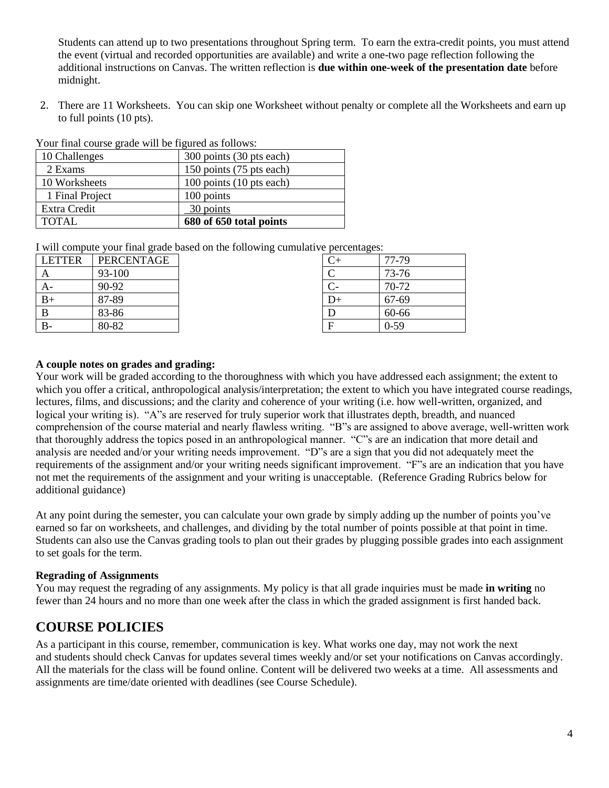Students can attend up to two presentations throughout Spring term. To earn the extra-credit points, you must attend the event (virtual and recorded opportunities are available) and write a one-two page reflection following the additional instructions on Canvas. The written reflection is **due within one-week of the presentation date** before midnight.

2. There are 11 Worksheets. You can skip one Worksheet without penalty or complete all the Worksheets and earn up to full points (10 pts).

| Your final course grade will be figured as follows: |  |  |  |  |  |  |  |  |  |  |
|-----------------------------------------------------|--|--|--|--|--|--|--|--|--|--|
|-----------------------------------------------------|--|--|--|--|--|--|--|--|--|--|

| 10 Challenges   | 300 points (30 pts each) |
|-----------------|--------------------------|
| 2 Exams         | 150 points (75 pts each) |
| 10 Worksheets   | 100 points (10 pts each) |
| 1 Final Project | 100 points               |
| Extra Credit    | 30 points                |
| TOTAL.          | 680 of 650 total points  |

I will compute your final grade based on the following cumulative percentages:

| <b>LETTER</b> | PERCENTAGE |
|---------------|------------|
| А             | 93-100     |
| $A -$         | 90-92      |
| $B+$          | 87-89      |
| B             | 83-86      |
|               | 80-82      |

| $\sim$ percentages. |          |
|---------------------|----------|
| $C+$                | 77-79    |
| C                   | 73-76    |
| $C-$                | 70-72    |
| $D+$                | 67-69    |
| D                   | 60-66    |
| F                   | $0 - 59$ |

### **A couple notes on grades and grading:**

Your work will be graded according to the thoroughness with which you have addressed each assignment; the extent to which you offer a critical, anthropological analysis/interpretation; the extent to which you have integrated course readings, lectures, films, and discussions; and the clarity and coherence of your writing (i.e. how well-written, organized, and logical your writing is). "A"s are reserved for truly superior work that illustrates depth, breadth, and nuanced comprehension of the course material and nearly flawless writing. "B"s are assigned to above average, well-written work that thoroughly address the topics posed in an anthropological manner. "C"s are an indication that more detail and analysis are needed and/or your writing needs improvement. "D"s are a sign that you did not adequately meet the requirements of the assignment and/or your writing needs significant improvement. "F"s are an indication that you have not met the requirements of the assignment and your writing is unacceptable. (Reference Grading Rubrics below for additional guidance)

At any point during the semester, you can calculate your own grade by simply adding up the number of points you've earned so far on worksheets, and challenges, and dividing by the total number of points possible at that point in time. Students can also use the Canvas grading tools to plan out their grades by plugging possible grades into each assignment to set goals for the term.

### **Regrading of Assignments**

You may request the regrading of any assignments. My policy is that all grade inquiries must be made **in writing** no fewer than 24 hours and no more than one week after the class in which the graded assignment is first handed back.

### **COURSE POLICIES**

As a participant in this course, remember, communication is key. What works one day, may not work the next and students should check Canvas for updates several times weekly and/or set your notifications on Canvas accordingly. All the materials for the class will be found online. Content will be delivered two weeks at a time. All assessments and assignments are time/date oriented with deadlines (see Course Schedule).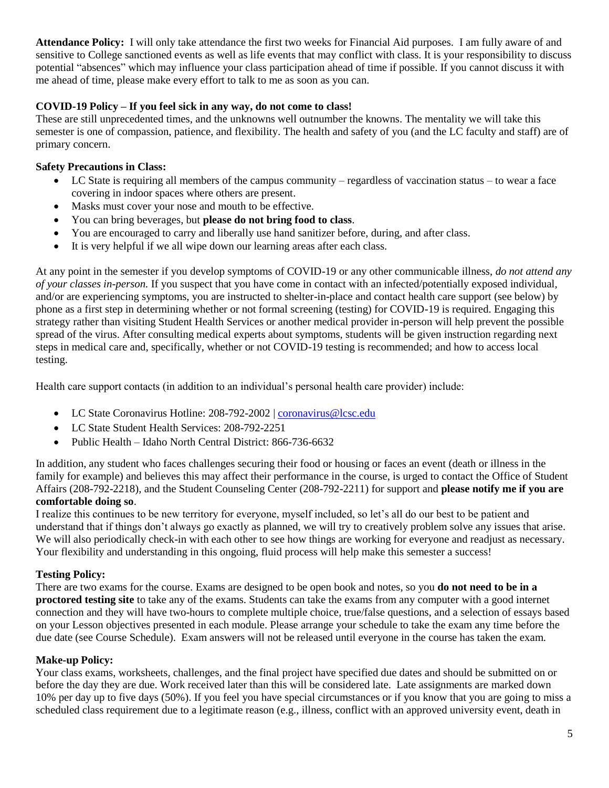**Attendance Policy:** I will only take attendance the first two weeks for Financial Aid purposes. I am fully aware of and sensitive to College sanctioned events as well as life events that may conflict with class. It is your responsibility to discuss potential "absences" which may influence your class participation ahead of time if possible. If you cannot discuss it with me ahead of time, please make every effort to talk to me as soon as you can.

### **COVID-19 Policy – If you feel sick in any way, do not come to class!**

These are still unprecedented times, and the unknowns well outnumber the knowns. The mentality we will take this semester is one of compassion, patience, and flexibility. The health and safety of you (and the LC faculty and staff) are of primary concern.

### **Safety Precautions in Class:**

- LC State is requiring all members of the campus community regardless of vaccination status to wear a face covering in indoor spaces where others are present.
- Masks must cover your nose and mouth to be effective.
- You can bring beverages, but **please do not bring food to class**.
- You are encouraged to carry and liberally use hand sanitizer before, during, and after class.
- It is very helpful if we all wipe down our learning areas after each class.

At any point in the semester if you develop symptoms of COVID-19 or any other communicable illness, *do not attend any of your classes in-person.* If you suspect that you have come in contact with an infected/potentially exposed individual, and/or are experiencing symptoms, you are instructed to shelter-in-place and contact health care support (see below) by phone as a first step in determining whether or not formal screening (testing) for COVID-19 is required. Engaging this strategy rather than visiting Student Health Services or another medical provider in-person will help prevent the possible spread of the virus. After consulting medical experts about symptoms, students will be given instruction regarding next steps in medical care and, specifically, whether or not COVID-19 testing is recommended; and how to access local testing.

Health care support contacts (in addition to an individual's personal health care provider) include:

- LC State Coronavirus Hotline: 208-792-2002 | [coronavirus@lcsc.edu](mailto:coronavirus@lcsc.edu)
- LC State Student Health Services: 208-792-2251
- Public Health Idaho North Central District: 866-736-6632

In addition, any student who faces challenges securing their food or housing or faces an event (death or illness in the family for example) and believes this may affect their performance in the course, is urged to contact the Office of Student Affairs (208-792-2218), and the Student Counseling Center (208-792-2211) for support and **please notify me if you are comfortable doing so**.

I realize this continues to be new territory for everyone, myself included, so let's all do our best to be patient and understand that if things don't always go exactly as planned, we will try to creatively problem solve any issues that arise. We will also periodically check-in with each other to see how things are working for everyone and readjust as necessary. Your flexibility and understanding in this ongoing, fluid process will help make this semester a success!

### **Testing Policy:**

There are two exams for the course. Exams are designed to be open book and notes, so you **do not need to be in a proctored testing site** to take any of the exams. Students can take the exams from any computer with a good internet connection and they will have two-hours to complete multiple choice, true/false questions, and a selection of essays based on your Lesson objectives presented in each module. Please arrange your schedule to take the exam any time before the due date (see Course Schedule). Exam answers will not be released until everyone in the course has taken the exam.

### **Make-up Policy:**

Your class exams, worksheets, challenges, and the final project have specified due dates and should be submitted on or before the day they are due. Work received later than this will be considered late. Late assignments are marked down 10% per day up to five days (50%). If you feel you have special circumstances or if you know that you are going to miss a scheduled class requirement due to a legitimate reason (e.g., illness, conflict with an approved university event, death in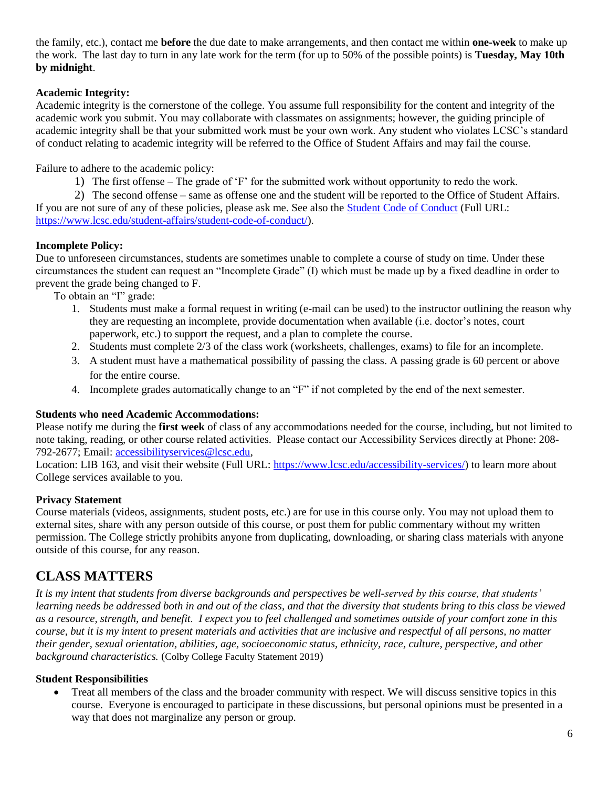the family, etc.), contact me **before** the due date to make arrangements, and then contact me within **one-week** to make up the work. The last day to turn in any late work for the term (for up to 50% of the possible points) is **Tuesday, May 10th by midnight**.

### **Academic Integrity:**

Academic integrity is the cornerstone of the college. You assume full responsibility for the content and integrity of the academic work you submit. You may collaborate with classmates on assignments; however, the guiding principle of academic integrity shall be that your submitted work must be your own work. Any student who violates LCSC's standard of conduct relating to academic integrity will be referred to the Office of Student Affairs and may fail the course.

Failure to adhere to the academic policy:

1) The first offense – The grade of 'F' for the submitted work without opportunity to redo the work.

2) The second offense – same as offense one and the student will be reported to the Office of Student Affairs. If you are not sure of any of these policies, please ask me. See also the [Student Code of Conduct](https://www.lcsc.edu/student-affairs/student-code-of-conduct/) (Full URL: [https://www.lcsc.edu/student-affairs/student-code-of-conduct/\)](https://www.lcsc.edu/student-affairs/student-code-of-conduct/).

### **Incomplete Policy:**

Due to unforeseen circumstances, students are sometimes unable to complete a course of study on time. Under these circumstances the student can request an "Incomplete Grade" (I) which must be made up by a fixed deadline in order to prevent the grade being changed to F.

To obtain an "I" grade:

- 1. Students must make a formal request in writing (e-mail can be used) to the instructor outlining the reason why they are requesting an incomplete, provide documentation when available (i.e. doctor's notes, court paperwork, etc.) to support the request, and a plan to complete the course.
- 2. Students must complete 2/3 of the class work (worksheets, challenges, exams) to file for an incomplete.
- 3. A student must have a mathematical possibility of passing the class. A passing grade is 60 percent or above for the entire course.
- 4. Incomplete grades automatically change to an "F" if not completed by the end of the next semester.

### **Students who need Academic Accommodations:**

Please notify me during the **first week** of class of any accommodations needed for the course, including, but not limited to note taking, reading, or other course related activities. Please contact our Accessibility Services directly at Phone: 208- 792-2677; Email: [accessibilityservices@lcsc.edu,](mailto:accessibilityservices@lcsc.edu)

Location: LIB 163, and visit their website (Full URL: [https://www.lcsc.edu/accessibility-services/\)](https://www.lcsc.edu/accessibility-services/) to learn more about College services available to you.

### **Privacy Statement**

Course materials (videos, assignments, student posts, etc.) are for use in this course only. You may not upload them to external sites, share with any person outside of this course, or post them for public commentary without my written permission. The College strictly prohibits anyone from duplicating, downloading, or sharing class materials with anyone outside of this course, for any reason.

### **CLASS MATTERS**

*It is my intent that students from diverse backgrounds and perspectives be well-served by this course, that students' learning needs be addressed both in and out of the class, and that the diversity that students bring to this class be viewed as a resource, strength, and benefit. I expect you to feel challenged and sometimes outside of your comfort zone in this course, but it is my intent to present materials and activities that are inclusive and respectful of all persons, no matter their gender, sexual orientation, abilities, age, socioeconomic status, ethnicity, race, culture, perspective, and other background characteristics.* (Colby College Faculty Statement 2019)

### **Student Responsibilities**

• Treat all members of the class and the broader community with respect. We will discuss sensitive topics in this course. Everyone is encouraged to participate in these discussions, but personal opinions must be presented in a way that does not marginalize any person or group.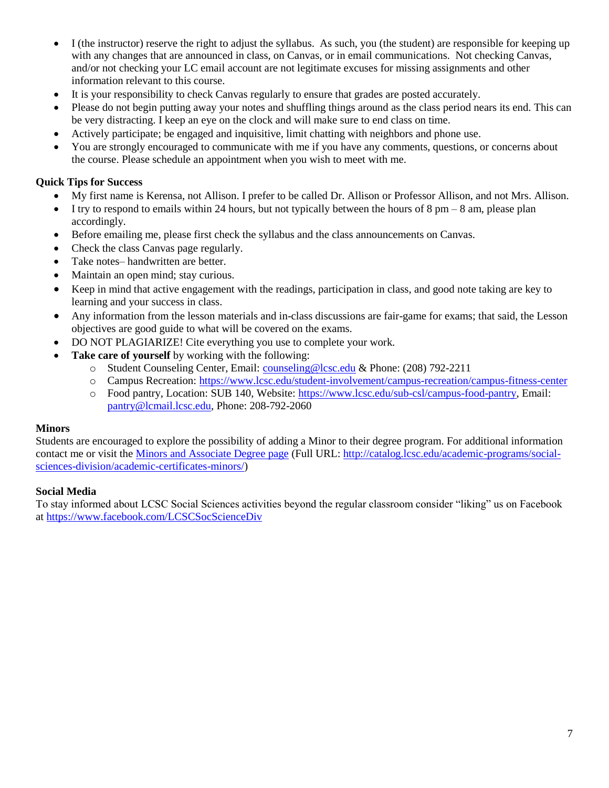- I (the instructor) reserve the right to adjust the syllabus. As such, you (the student) are responsible for keeping up with any changes that are announced in class, on Canvas, or in email communications. Not checking Canvas, and/or not checking your LC email account are not legitimate excuses for missing assignments and other information relevant to this course.
- It is your responsibility to check Canvas regularly to ensure that grades are posted accurately.
- Please do not begin putting away your notes and shuffling things around as the class period nears its end. This can be very distracting. I keep an eye on the clock and will make sure to end class on time.
- Actively participate; be engaged and inquisitive, limit chatting with neighbors and phone use.
- You are strongly encouraged to communicate with me if you have any comments, questions, or concerns about the course. Please schedule an appointment when you wish to meet with me.

### **Quick Tips for Success**

- My first name is Kerensa, not Allison. I prefer to be called Dr. Allison or Professor Allison, and not Mrs. Allison.
- $\bullet$  I try to respond to emails within 24 hours, but not typically between the hours of 8 pm 8 am, please plan accordingly.
- Before emailing me, please first check the syllabus and the class announcements on Canvas.
- Check the class Canvas page regularly.
- Take notes– handwritten are better.
- Maintain an open mind; stay curious.
- Keep in mind that active engagement with the readings, participation in class, and good note taking are key to learning and your success in class.
- Any information from the lesson materials and in-class discussions are fair-game for exams; that said, the Lesson objectives are good guide to what will be covered on the exams.
- DO NOT PLAGIARIZE! Cite everything you use to complete your work.
- Take care of yourself by working with the following:
	- o Student Counseling Center, Email: [counseling@lcsc.edu](mailto:counseling@lcsc.edu) & Phone: (208) 792-2211
	- o Campus Recreation:<https://www.lcsc.edu/student-involvement/campus-recreation/campus-fitness-center>
	- o Food pantry, Location: SUB 140, Website: [https://www.lcsc.edu/sub-csl/campus-food-pantry,](https://www.lcsc.edu/sub-csl/campus-food-pantry) Email: [pantry@lcmail.lcsc.edu,](mailto:pantry@lcmail.lcsc.edu) Phone: 208-792-2060

#### **Minors**

Students are encouraged to explore the possibility of adding a Minor to their degree program. For additional information contact me or visit the [Minors and Associate Degree page](http://catalog.lcsc.edu/academic-programs/social-sciences-division/academic-certificates-minors/) (Full URL: [http://catalog.lcsc.edu/academic-programs/social](http://catalog.lcsc.edu/academic-programs/social-sciences-division/academic-certificates-minors/)[sciences-division/academic-certificates-minors/\)](http://catalog.lcsc.edu/academic-programs/social-sciences-division/academic-certificates-minors/)

#### **Social Media**

To stay informed about LCSC Social Sciences activities beyond the regular classroom consider "liking" us on Facebook at<https://www.facebook.com/LCSCSocScienceDiv>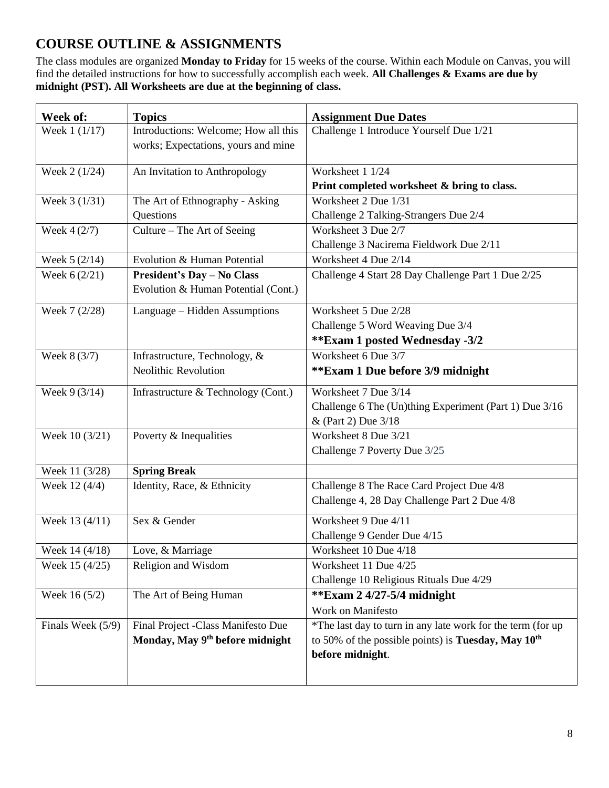## **COURSE OUTLINE & ASSIGNMENTS**

The class modules are organized **Monday to Friday** for 15 weeks of the course. Within each Module on Canvas, you will find the detailed instructions for how to successfully accomplish each week. **All Challenges & Exams are due by midnight (PST). All Worksheets are due at the beginning of class.** 

| Introductions: Welcome; How all this<br>Challenge 1 Introduce Yourself Due 1/21<br>Week 1 (1/17)<br>works; Expectations, yours and mine | <b>Topics</b> |                                                             |
|-----------------------------------------------------------------------------------------------------------------------------------------|---------------|-------------------------------------------------------------|
|                                                                                                                                         |               |                                                             |
|                                                                                                                                         |               |                                                             |
| Week 2 (1/24)<br>Worksheet 1 1/24<br>An Invitation to Anthropology                                                                      |               |                                                             |
| Print completed worksheet & bring to class.                                                                                             |               |                                                             |
| Worksheet 2 Due 1/31<br>Week 3 (1/31)<br>The Art of Ethnography - Asking                                                                |               |                                                             |
| Questions<br>Challenge 2 Talking-Strangers Due 2/4                                                                                      |               |                                                             |
| Worksheet 3 Due 2/7<br>Week $4(2/7)$<br>Culture – The Art of Seeing                                                                     |               |                                                             |
| Challenge 3 Nacirema Fieldwork Due 2/11                                                                                                 |               |                                                             |
| Evolution & Human Potential<br>Week $5(2/14)$<br>Worksheet 4 Due 2/14                                                                   |               |                                                             |
| <b>President's Day - No Class</b><br>Challenge 4 Start 28 Day Challenge Part 1 Due 2/25<br>Week $6(2/21)$                               |               |                                                             |
| Evolution & Human Potential (Cont.)                                                                                                     |               |                                                             |
| Week 7 (2/28)<br>Worksheet 5 Due 2/28<br>Language - Hidden Assumptions                                                                  |               |                                                             |
| Challenge 5 Word Weaving Due 3/4                                                                                                        |               |                                                             |
| <b>**Exam 1 posted Wednesday -3/2</b>                                                                                                   |               |                                                             |
| Infrastructure, Technology, &<br>Worksheet 6 Due 3/7<br>Week 8 (3/7)                                                                    |               |                                                             |
| <b>Neolithic Revolution</b><br>**Exam 1 Due before 3/9 midnight                                                                         |               |                                                             |
| Worksheet 7 Due 3/14<br>Week 9 (3/14)<br>Infrastructure & Technology (Cont.)                                                            |               |                                                             |
|                                                                                                                                         |               | Challenge 6 The (Un)thing Experiment (Part 1) Due 3/16      |
| & (Part 2) Due 3/18                                                                                                                     |               |                                                             |
| Poverty & Inequalities<br>Worksheet 8 Due 3/21<br>Week 10 (3/21)                                                                        |               |                                                             |
| Challenge 7 Poverty Due 3/25                                                                                                            |               |                                                             |
| <b>Spring Break</b><br>Week 11 (3/28)                                                                                                   |               |                                                             |
| Challenge 8 The Race Card Project Due 4/8<br>Week 12 (4/4)<br>Identity, Race, & Ethnicity                                               |               |                                                             |
| Challenge 4, 28 Day Challenge Part 2 Due 4/8                                                                                            |               |                                                             |
| Worksheet 9 Due 4/11<br>Week 13 (4/11)<br>Sex & Gender                                                                                  |               |                                                             |
| Challenge 9 Gender Due 4/15                                                                                                             |               |                                                             |
| Week 14 (4/18)<br>Love, & Marriage<br>Worksheet 10 Due 4/18                                                                             |               |                                                             |
| Religion and Wisdom<br>Worksheet 11 Due 4/25<br>Week 15 (4/25)                                                                          |               |                                                             |
| Challenge 10 Religious Rituals Due 4/29                                                                                                 |               |                                                             |
| Week 16 (5/2)<br>The Art of Being Human<br>**Exam $2\frac{4}{27}$ -5/4 midnight                                                         |               |                                                             |
| Work on Manifesto                                                                                                                       |               |                                                             |
| Final Project -Class Manifesto Due<br>Finals Week $(5/9)$                                                                               |               | *The last day to turn in any late work for the term (for up |
| Monday, May 9 <sup>th</sup> before midnight<br>to 50% of the possible points) is Tuesday, May $10^{th}$                                 |               |                                                             |
| before midnight.                                                                                                                        |               |                                                             |
|                                                                                                                                         |               |                                                             |